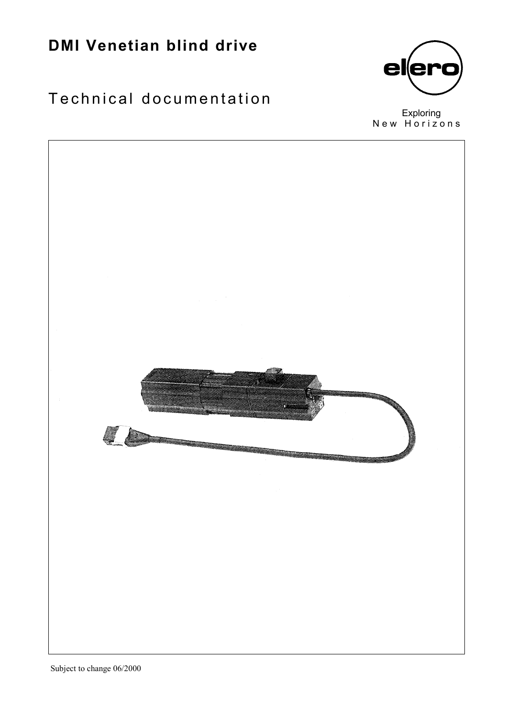# **DMI Venetian blind drive**

# Technical documentation



Exploring<br>N e w H o r i z o n s

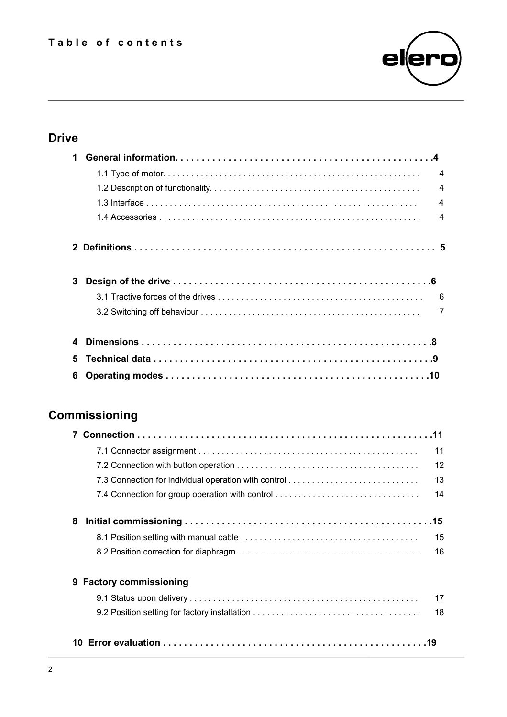

# **Drive**

|   | $\overline{\mathbf{4}}$ |
|---|-------------------------|
|   | $\overline{4}$          |
|   | $\boldsymbol{4}$        |
|   | $\overline{4}$          |
|   |                         |
| 3 |                         |
|   |                         |
|   |                         |
|   | $\overline{7}$          |
|   |                         |
|   |                         |
| 5 |                         |

# **Commissioning**

|   |                         | 11 |
|---|-------------------------|----|
|   |                         | 12 |
|   |                         | 13 |
|   |                         | 14 |
| 8 |                         |    |
|   |                         | 15 |
|   |                         | 16 |
|   | 9 Factory commissioning |    |
|   |                         | 17 |
|   |                         |    |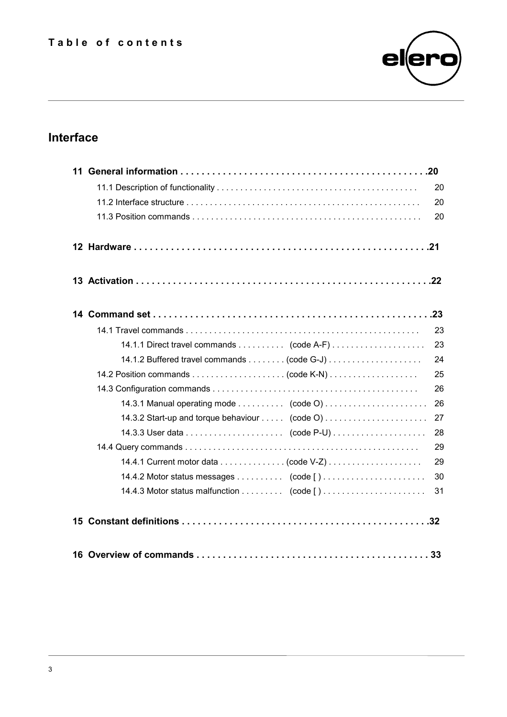

# **Interface**

|                                                | 20 |
|------------------------------------------------|----|
|                                                | 20 |
|                                                | 20 |
|                                                |    |
|                                                |    |
|                                                |    |
|                                                | 23 |
|                                                | 23 |
|                                                | 24 |
|                                                | 25 |
|                                                | 26 |
|                                                | 26 |
| 14.3.2 Start-up and torque behaviour  (code O) | 27 |
|                                                | 28 |
|                                                | 29 |
|                                                | 29 |
|                                                | 30 |
|                                                | 31 |
|                                                |    |
|                                                |    |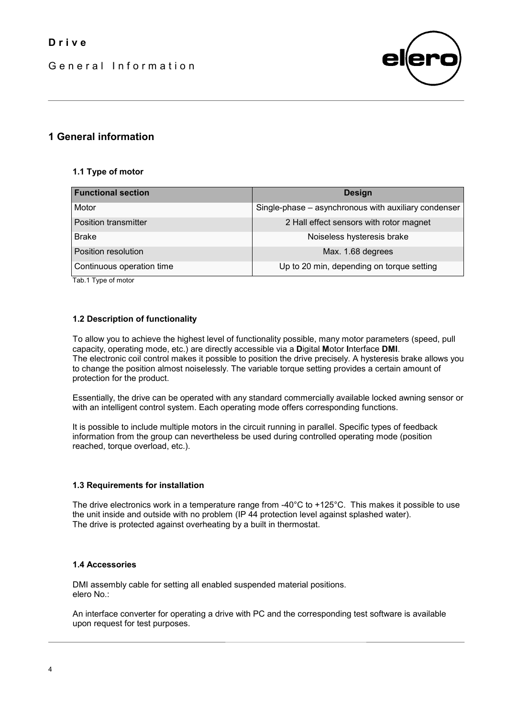General Information



# **1 General information**

#### **1.1 Type of motor**

| <b>Functional section</b> | <b>Design</b>                                        |
|---------------------------|------------------------------------------------------|
| Motor                     | Single-phase – asynchronous with auxiliary condenser |
| Position transmitter      | 2 Hall effect sensors with rotor magnet              |
| <b>Brake</b>              | Noiseless hysteresis brake                           |
| Position resolution       | Max. 1.68 degrees                                    |
| Continuous operation time | Up to 20 min, depending on torque setting            |

Tab.1 Type of motor

#### **1.2 Description of functionality**

To allow you to achieve the highest level of functionality possible, many motor parameters (speed, pull capacity, operating mode, etc.) are directly accessible via a **D**igital **M**otor **I**nterface **DMI**. The electronic coil control makes it possible to position the drive precisely. A hysteresis brake allows you to change the position almost noiselessly. The variable torque setting provides a certain amount of protection for the product.

Essentially, the drive can be operated with any standard commercially available locked awning sensor or with an intelligent control system. Each operating mode offers corresponding functions.

It is possible to include multiple motors in the circuit running in parallel. Specific types of feedback information from the group can nevertheless be used during controlled operating mode (position reached, torque overload, etc.).

#### **1.3 Requirements for installation**

The drive electronics work in a temperature range from -40°C to +125°C. This makes it possible to use the unit inside and outside with no problem (IP 44 protection level against splashed water). The drive is protected against overheating by a built in thermostat.

#### **1.4 Accessories**

DMI assembly cable for setting all enabled suspended material positions. elero No.:

An interface converter for operating a drive with PC and the corresponding test software is available upon request for test purposes.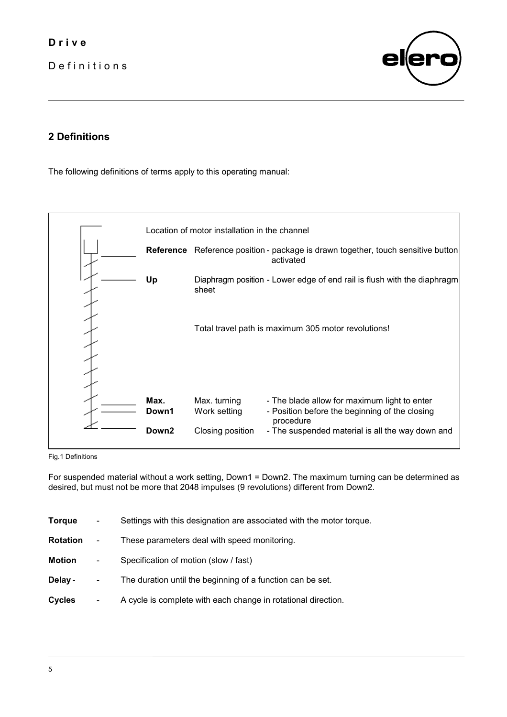Definitions



# **2 Definitions**

The following definitions of terms apply to this operating manual:



Fig.1 Definitions

For suspended material without a work setting, Down1 = Down2. The maximum turning can be determined as desired, but must not be more that 2048 impulses (9 revolutions) different from Down2.

| <b>Torgue</b>   | -                        | Settings with this designation are associated with the motor torque. |
|-----------------|--------------------------|----------------------------------------------------------------------|
| <b>Rotation</b> | $\overline{\phantom{a}}$ | These parameters deal with speed monitoring.                         |
| <b>Motion</b>   | $\overline{\phantom{0}}$ | Specification of motion (slow / fast)                                |
| Delay -         | -                        | The duration until the beginning of a function can be set.           |
| <b>Cycles</b>   | -                        | A cycle is complete with each change in rotational direction.        |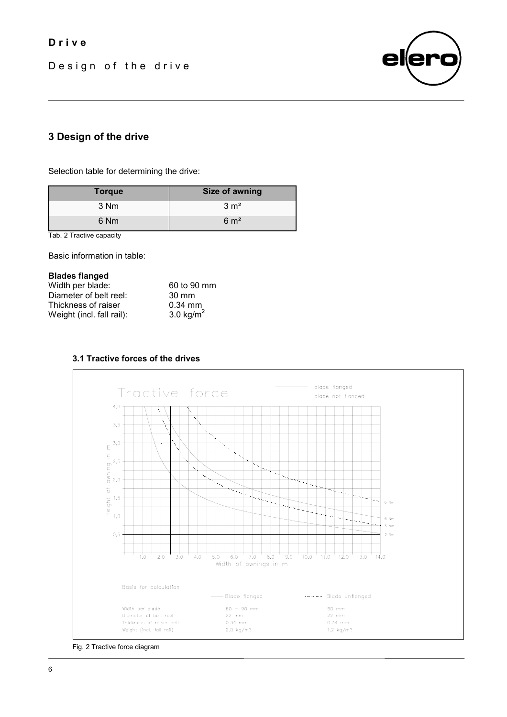Design of the drive



# **3 Design of the drive**

Selection table for determining the drive:

| <b>Torque</b> | Size of awning  |
|---------------|-----------------|
| 3 Nm          | $3 \text{ m}^2$ |
| 6 Nm          | $6 \text{ m}^2$ |

Tab. 2 Tractive capacity

Basic information in table:

| <b>Blades flanged</b>     |                 |
|---------------------------|-----------------|
| Width per blade:          | 60 to 90 mm     |
| Diameter of belt reel:    | $30 \text{ mm}$ |
| Thickness of raiser       | $0.34$ mm       |
| Weight (incl. fall rail): | 3.0 kg/ $m2$    |

### **3.1 Tractive forces of the drives**



Fig. 2 Tractive force diagram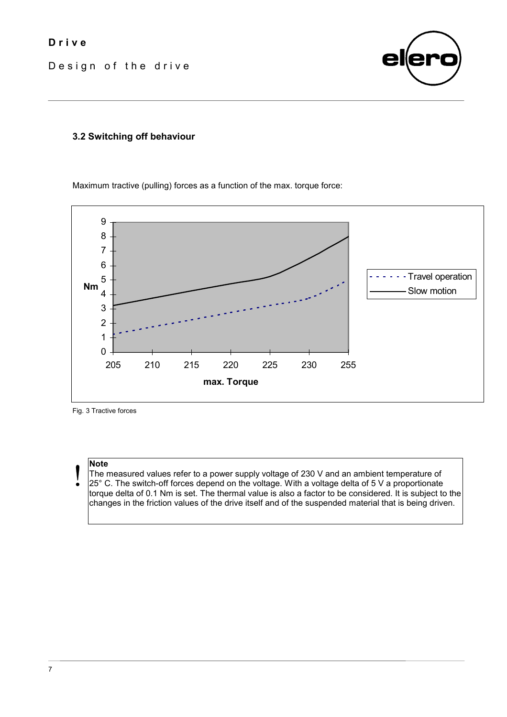Design of the drive



## **3.2 Switching off behaviour**

Maximum tractive (pulling) forces as a function of the max. torque force:



Fig. 3 Tractive forces

# **Note**

<u>|</u> The measured values refer to a power supply voltage of 230 V and an ambient temperature of 25° C. The switch-off forces depend on the voltage. With a voltage delta of 5 V a proportionate torque delta of 0.1 Nm is set. The thermal value is also a factor to be considered. It is subject to the changes in the friction values of the drive itself and of the suspended material that is being driven.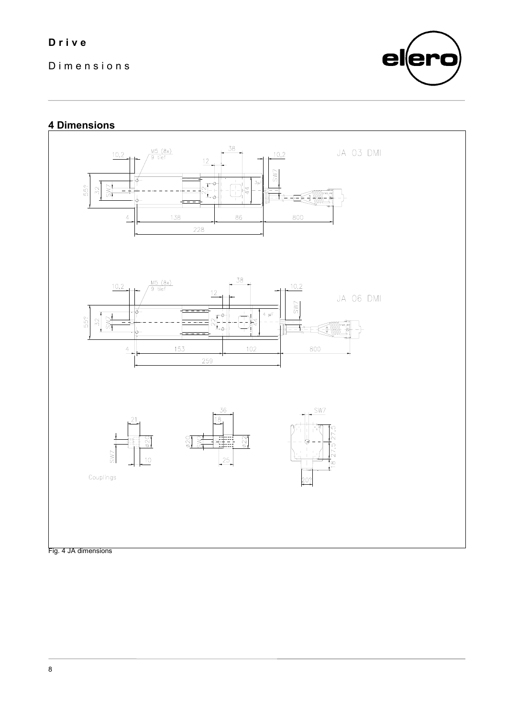# **Drive**

Dimensions



# **4 Dimensions**

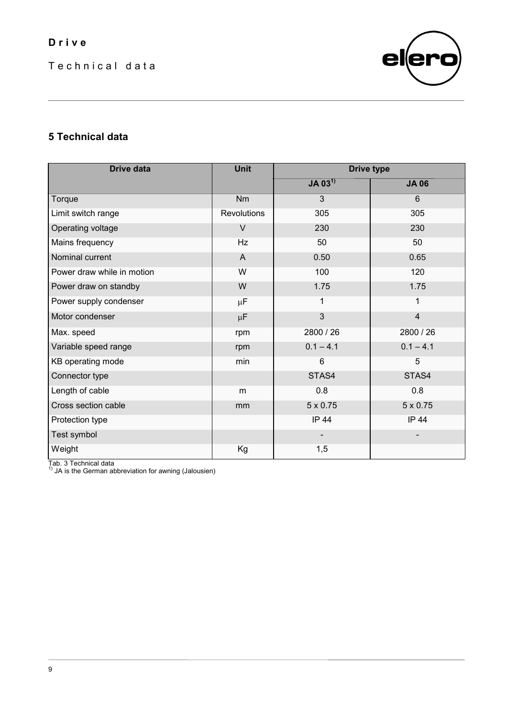Technical data



# **5 Technical data**

| <b>Drive data</b>          | <b>Unit</b>        | <b>Drive type</b>  |                 |
|----------------------------|--------------------|--------------------|-----------------|
|                            |                    | JA 03 <sup>1</sup> | <b>JA06</b>     |
| Torque                     | <b>Nm</b>          | 3                  | 6               |
| Limit switch range         | <b>Revolutions</b> | 305                | 305             |
| Operating voltage          | $\vee$             | 230                | 230             |
| Mains frequency            | Hz                 | 50                 | 50              |
| Nominal current            | A                  | 0.50               | 0.65            |
| Power draw while in motion | W                  | 100                | 120             |
| Power draw on standby      | W                  | 1.75               | 1.75            |
| Power supply condenser     | $\mu$ F            | 1                  | 1               |
| Motor condenser            | $\mu$ F            | 3                  | $\overline{4}$  |
| Max. speed                 | rpm                | 2800 / 26          | 2800 / 26       |
| Variable speed range       | rpm                | $0.1 - 4.1$        | $0.1 - 4.1$     |
| KB operating mode          | min                | $6\phantom{1}$     | 5               |
| Connector type             |                    | STAS4              | STAS4           |
| Length of cable            | m                  | 0.8                | 0.8             |
| Cross section cable        | mm                 | $5 \times 0.75$    | $5 \times 0.75$ |
| Protection type            |                    | <b>IP 44</b>       | IP 44           |
| Test symbol                |                    |                    |                 |
| Weight                     | Kg                 | 1,5                |                 |

Tab. 3 Technical data 1) JA is the German abbreviation for awning (Jalousien)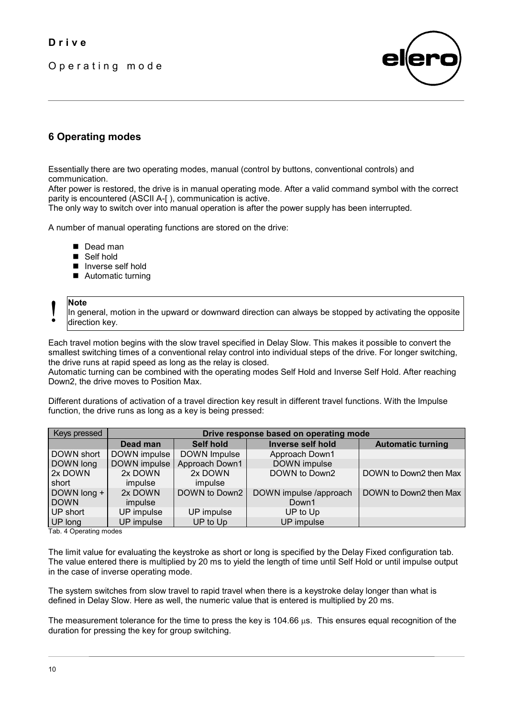Operating mode



# **6 Operating modes**

Essentially there are two operating modes, manual (control by buttons, conventional controls) and communication.

After power is restored, the drive is in manual operating mode. After a valid command symbol with the correct parity is encountered (ASCII A-[ ), communication is active.

The only way to switch over into manual operation is after the power supply has been interrupted.

A number of manual operating functions are stored on the drive:

- Dead man
- Self hold
- Inverse self hold
- Automatic turning

# <u>|</u> **Note**

In general, motion in the upward or downward direction can always be stopped by activating the opposite direction key.

Each travel motion begins with the slow travel specified in Delay Slow. This makes it possible to convert the smallest switching times of a conventional relay control into individual steps of the drive. For longer switching, the drive runs at rapid speed as long as the relay is closed.

Automatic turning can be combined with the operating modes Self Hold and Inverse Self Hold. After reaching Down2, the drive moves to Position Max.

Different durations of activation of a travel direction key result in different travel functions. With the Impulse function, the drive runs as long as a key is being pressed:

| <b>Keys pressed</b> | Drive response based on operating mode |                  |                          |                          |
|---------------------|----------------------------------------|------------------|--------------------------|--------------------------|
|                     | Dead man                               | <b>Self hold</b> | <b>Inverse self hold</b> | <b>Automatic turning</b> |
| DOWN short          | DOWN impulse                           | DOWN Impulse     | Approach Down1           |                          |
| DOWN long           | DOWN impulse                           | Approach Down1   | DOWN impulse             |                          |
| 2x DOWN             | 2x DOWN                                | 2x DOWN          | DOWN to Down2            | DOWN to Down2 then Max   |
| short               | impulse                                | <i>impulse</i>   |                          |                          |
| DOWN long +         | 2x DOWN                                | DOWN to Down2    | DOWN impulse /approach   | DOWN to Down2 then Max   |
| <b>DOWN</b>         | <i>impulse</i>                         |                  | Down1                    |                          |
| UP short            | UP impulse                             | UP impulse       | UP to Up                 |                          |
| UP long             | UP impulse                             | UP to Up         | UP impulse               |                          |

Tab. 4 Operating modes

The limit value for evaluating the keystroke as short or long is specified by the Delay Fixed configuration tab. The value entered there is multiplied by 20 ms to yield the length of time until Self Hold or until impulse output in the case of inverse operating mode.

The system switches from slow travel to rapid travel when there is a keystroke delay longer than what is defined in Delay Slow. Here as well, the numeric value that is entered is multiplied by 20 ms.

The measurement tolerance for the time to press the key is  $104.66 \mu s$ . This ensures equal recognition of the duration for pressing the key for group switching.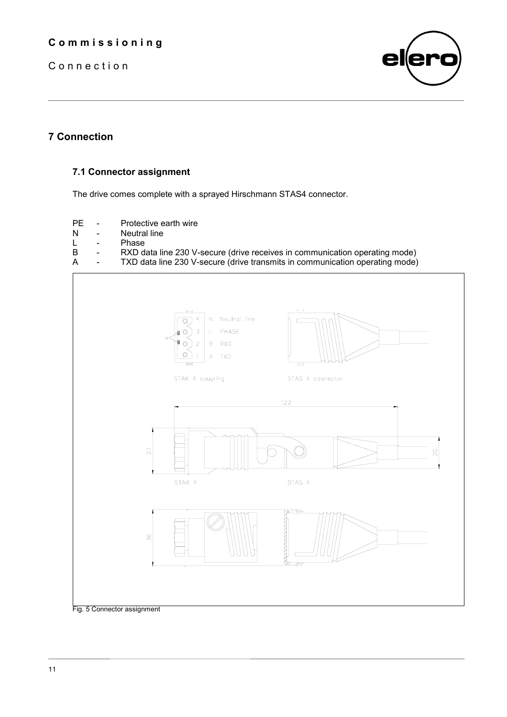Connection



# **7 Connection**

# **7.1 Connector assignment**

The drive comes complete with a sprayed Hirschmann STAS4 connector.

- PE Protective earth wire<br>N Neutral line
- Neutral line
- L Phase<br>B RXD d
- B RXD data line 230 V-secure (drive receives in communication operating mode)<br>A TXD data line 230 V-secure (drive transmits in communication operating mode)
- TXD data line 230 V-secure (drive transmits in communication operating mode)

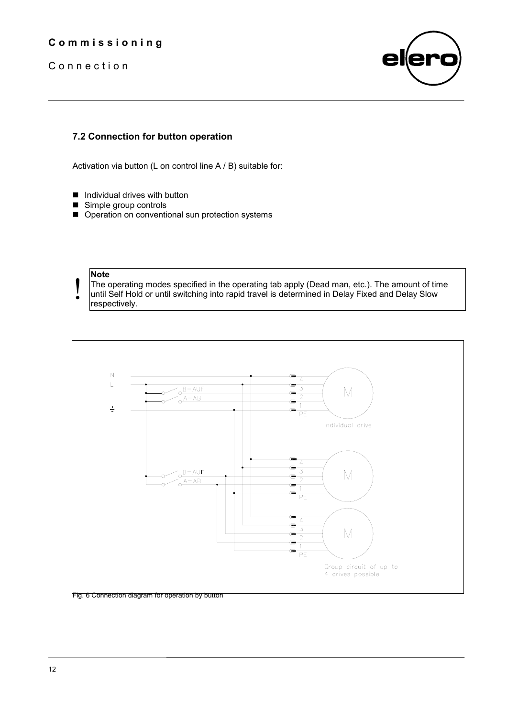# **Commissioning**

Connection



## **7.2 Connection for button operation**

Activation via button (L on control line A / B) suitable for:

- $\blacksquare$  Individual drives with button
- Simple group controls
- Operation on conventional sun protection systems

**Note**

<u>|</u> The operating modes specified in the operating tab apply (Dead man, etc.). The amount of time until Self Hold or until switching into rapid travel is determined in Delay Fixed and Delay Slow respectively.



Fig. 6 Connection diagram for operation by button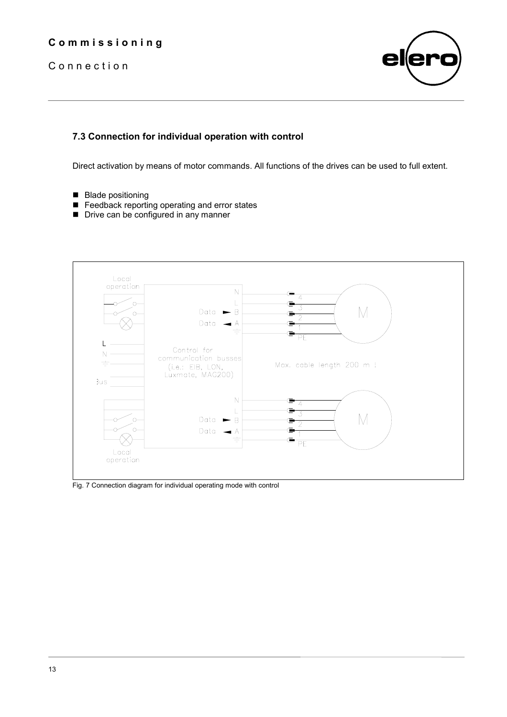Connection



# **7.3 Connection for individual operation with control**

Direct activation by means of motor commands. All functions of the drives can be used to full extent.

- Blade positioning
- Feedback reporting operating and error states
- Drive can be configured in any manner



Fig. 7 Connection diagram for individual operating mode with control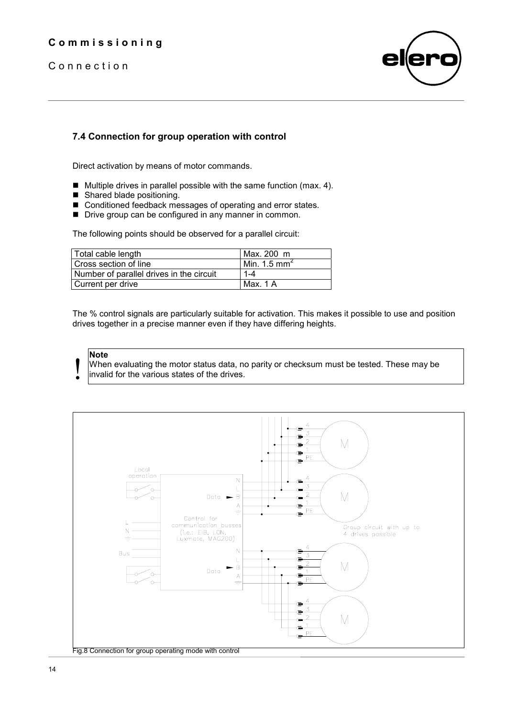# **Commissioning**

Connection



## **7.4 Connection for group operation with control**

Direct activation by means of motor commands.

- $\blacksquare$  Multiple drives in parallel possible with the same function (max. 4).
- Shared blade positioning.
- Conditioned feedback messages of operating and error states.
- Drive group can be configured in any manner in common.

The following points should be observed for a parallel circuit:

| Total cable length                       | Max. 200 m               |
|------------------------------------------|--------------------------|
| Cross section of line                    | Min. 1.5 mm <sup>2</sup> |
| Number of parallel drives in the circuit | $1 - 4$                  |
| Current per drive                        | Max. 1 A                 |

The % control signals are particularly suitable for activation. This makes it possible to use and position drives together in a precise manner even if they have differing heights.

**Note**

<u>|</u>

When evaluating the motor status data, no parity or checksum must be tested. These may be invalid for the various states of the drives.

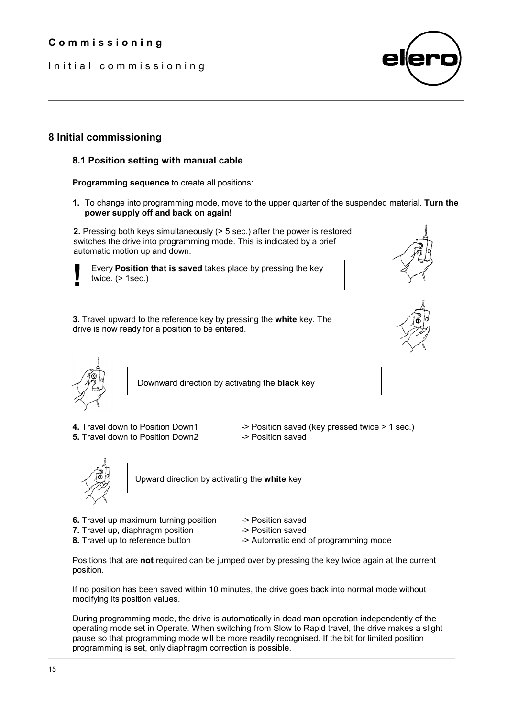# **Commissioning**

Initial commissioning



# **8 Initial commissioning**

### **8.1 Position setting with manual cable**

**Programming sequence** to create all positions:

**1.** To change into programming mode, move to the upper quarter of the suspended material. **Turn the power supply off and back on again!**

**2.** Pressing both keys simultaneously (> 5 sec.) after the power is restored switches the drive into programming mode. This is indicated by a brief automatic motion up and down.

Every **Position that is saved** takes place by pressing the key twice.  $($  > 1sec.)



**3.** Travel upward to the reference key by pressing the **white** key. The drive is now ready for a position to be entered.



**!**

Downward direction by activating the **black** key

- **5.** Travel down to Position Down2
- **4.** Travel down to Position Down1 -> Position saved (key pressed twice > 1 sec.)<br> **5.** Travel down to Position Down2 -> Position saved
	-



Upward direction by activating the **white** key

- **6.** Travel up maximum turning position -> Position saved
	-
- **7.** Travel up, diaphragm position -> Position saved
- -
- 
- **8.** Travel up to reference button  $\rightarrow$  Automatic end of programming mode

Positions that are **not** required can be jumped over by pressing the key twice again at the current position.

If no position has been saved within 10 minutes, the drive goes back into normal mode without modifying its position values.

During programming mode, the drive is automatically in dead man operation independently of the operating mode set in Operate. When switching from Slow to Rapid travel, the drive makes a slight pause so that programming mode will be more readily recognised. If the bit for limited position programming is set, only diaphragm correction is possible.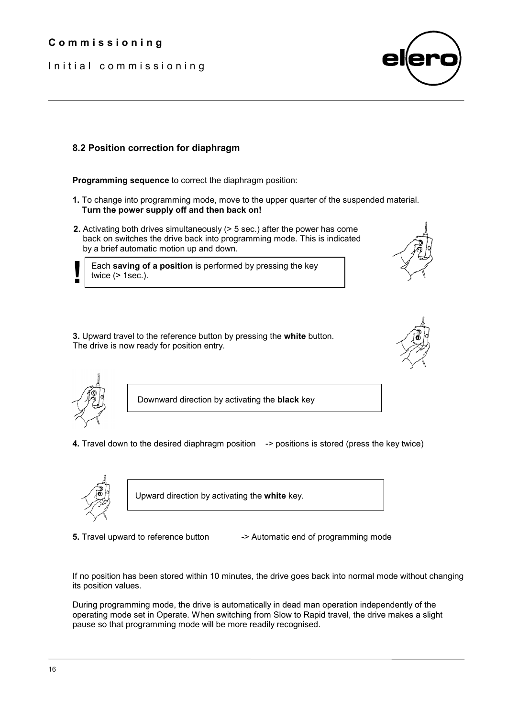Initial commissioning

# **8.2 Position correction for diaphragm**

**Programming sequence** to correct the diaphragm position:

- **1.** To change into programming mode, move to the upper quarter of the suspended material. **Turn the power supply off and then back on!**
- **2.** Activating both drives simultaneously (> 5 sec.) after the power has come back on switches the drive back into programming mode. This is indicated by a brief automatic motion up and down.

Each **saving of a position** is performed by pressing the key twice (> 1sec.).

**3.** Upward travel to the reference button by pressing the **white** button. The drive is now ready for position entry.





**!**

Downward direction by activating the **black** key

**4.** Travel down to the desired diaphragm position -> positions is stored (press the key twice)



Upward direction by activating the **white** key.

**5.** Travel upward to reference button -- > Automatic end of programming mode

If no position has been stored within 10 minutes, the drive goes back into normal mode without changing its position values.

During programming mode, the drive is automatically in dead man operation independently of the operating mode set in Operate. When switching from Slow to Rapid travel, the drive makes a slight pause so that programming mode will be more readily recognised.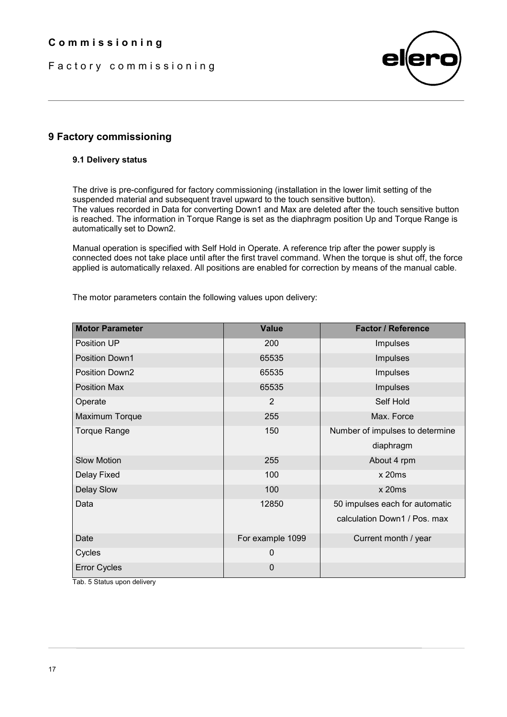Factory commissioning



# **9 Factory commissioning**

#### **9.1 Delivery status**

The drive is pre-configured for factory commissioning (installation in the lower limit setting of the suspended material and subsequent travel upward to the touch sensitive button). The values recorded in Data for converting Down1 and Max are deleted after the touch sensitive button is reached. The information in Torque Range is set as the diaphragm position Up and Torque Range is automatically set to Down2.

Manual operation is specified with Self Hold in Operate. A reference trip after the power supply is connected does not take place until after the first travel command. When the torque is shut off, the force applied is automatically relaxed. All positions are enabled for correction by means of the manual cable.

| <b>Motor Parameter</b> | <b>Value</b>     | <b>Factor / Reference</b>       |
|------------------------|------------------|---------------------------------|
| Position UP            | 200              | Impulses                        |
| Position Down1         | 65535            | Impulses                        |
| Position Down2         | 65535            | Impulses                        |
| <b>Position Max</b>    | 65535            | Impulses                        |
| Operate                | 2                | Self Hold                       |
| Maximum Torque         | 255              | Max. Force                      |
| <b>Torque Range</b>    | 150              | Number of impulses to determine |
|                        |                  | diaphragm                       |
| <b>Slow Motion</b>     | 255              | About 4 rpm                     |
| Delay Fixed            | 100              | $x$ 20 $ms$                     |
| <b>Delay Slow</b>      | 100              | $x$ 20 $ms$                     |
| Data                   | 12850            | 50 impulses each for automatic  |
|                        |                  | calculation Down1 / Pos. max    |
| Date                   | For example 1099 | Current month / year            |
| Cycles                 | 0                |                                 |
| <b>Error Cycles</b>    | 0                |                                 |

The motor parameters contain the following values upon delivery:

Tab. 5 Status upon delivery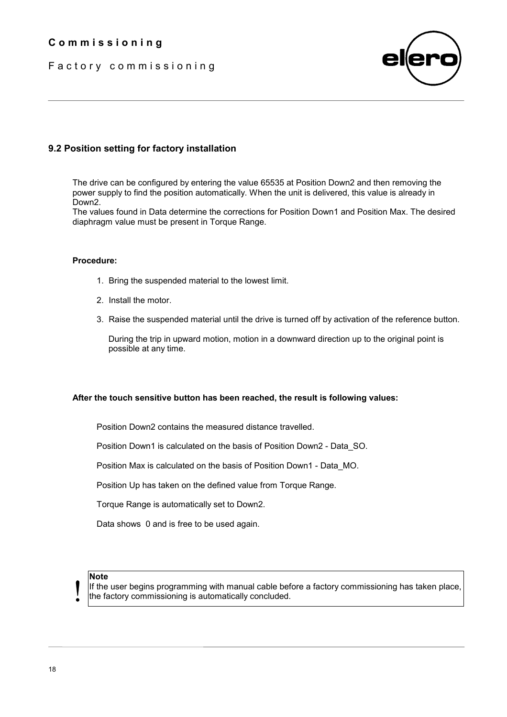Factory commissioning



# **9.2 Position setting for factory installation**

The drive can be configured by entering the value 65535 at Position Down2 and then removing the power supply to find the position automatically. When the unit is delivered, this value is already in Down2.

The values found in Data determine the corrections for Position Down1 and Position Max. The desired diaphragm value must be present in Torque Range.

#### **Procedure:**

- 1. Bring the suspended material to the lowest limit.
- 2. Install the motor.
- 3. Raise the suspended material until the drive is turned off by activation of the reference button.

 During the trip in upward motion, motion in a downward direction up to the original point is possible at any time.

#### **After the touch sensitive button has been reached, the result is following values:**

Position Down2 contains the measured distance travelled.

Position Down1 is calculated on the basis of Position Down2 - Data\_SO.

Position Max is calculated on the basis of Position Down1 - Data\_MO.

Position Up has taken on the defined value from Torque Range.

Torque Range is automatically set to Down2.

Data shows 0 and is free to be used again.

## **Note**

<u>|</u>

If the user begins programming with manual cable before a factory commissioning has taken place, the factory commissioning is automatically concluded.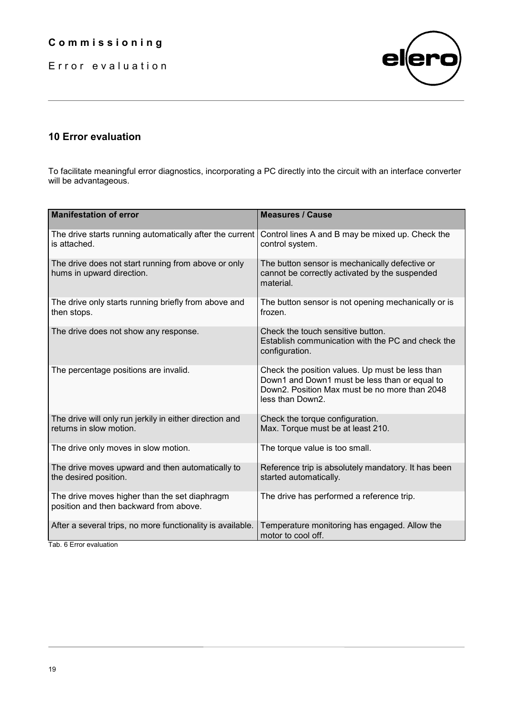Error evaluation



# **10 Error evaluation**

To facilitate meaningful error diagnostics, incorporating a PC directly into the circuit with an interface converter will be advantageous.

| <b>Manifestation of error</b>                                                           | <b>Measures / Cause</b>                                                                                                                                               |
|-----------------------------------------------------------------------------------------|-----------------------------------------------------------------------------------------------------------------------------------------------------------------------|
| The drive starts running automatically after the current<br>is attached.                | Control lines A and B may be mixed up. Check the<br>control system.                                                                                                   |
| The drive does not start running from above or only<br>hums in upward direction.        | The button sensor is mechanically defective or<br>cannot be correctly activated by the suspended<br>material.                                                         |
| The drive only starts running briefly from above and<br>then stops.                     | The button sensor is not opening mechanically or is<br>frozen.                                                                                                        |
| The drive does not show any response.                                                   | Check the touch sensitive button.<br>Establish communication with the PC and check the<br>configuration.                                                              |
| The percentage positions are invalid.                                                   | Check the position values. Up must be less than<br>Down1 and Down1 must be less than or equal to<br>Down2. Position Max must be no more than 2048<br>less than Down2. |
| The drive will only run jerkily in either direction and<br>returns in slow motion.      | Check the torque configuration.<br>Max. Torque must be at least 210.                                                                                                  |
| The drive only moves in slow motion.                                                    | The torque value is too small.                                                                                                                                        |
| The drive moves upward and then automatically to<br>the desired position.               | Reference trip is absolutely mandatory. It has been<br>started automatically.                                                                                         |
| The drive moves higher than the set diaphragm<br>position and then backward from above. | The drive has performed a reference trip.                                                                                                                             |
| After a several trips, no more functionality is available.                              | Temperature monitoring has engaged. Allow the<br>motor to cool off.                                                                                                   |

Tab. 6 Error evaluation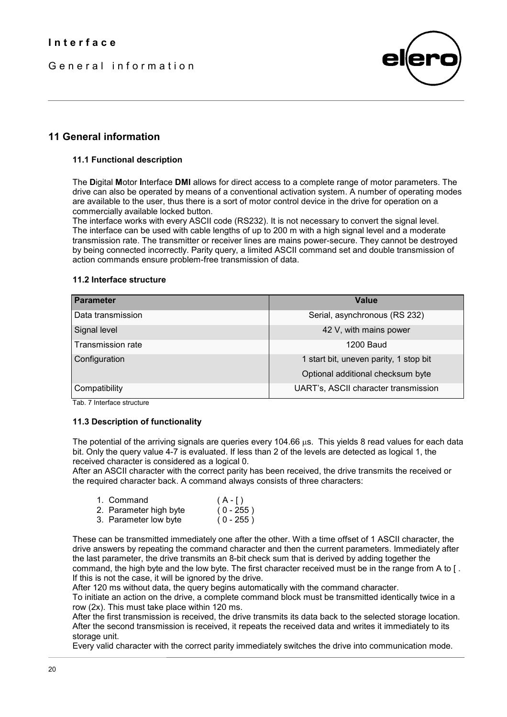General information



# **11 General information**

#### **11.1 Functional description**

The **D**igital **M**otor **I**nterface **DMI** allows for direct access to a complete range of motor parameters. The drive can also be operated by means of a conventional activation system. A number of operating modes are available to the user, thus there is a sort of motor control device in the drive for operation on a commercially available locked button.

The interface works with every ASCII code (RS232). It is not necessary to convert the signal level. The interface can be used with cable lengths of up to 200 m with a high signal level and a moderate transmission rate. The transmitter or receiver lines are mains power-secure. They cannot be destroyed by being connected incorrectly. Parity query, a limited ASCII command set and double transmission of action commands ensure problem-free transmission of data.

#### **11.2 Interface structure**

| <b>Parameter</b>  | Value                                  |
|-------------------|----------------------------------------|
| Data transmission | Serial, asynchronous (RS 232)          |
| Signal level      | 42 V, with mains power                 |
| Transmission rate | 1200 Baud                              |
| Configuration     | 1 start bit, uneven parity, 1 stop bit |
|                   | Optional additional checksum byte      |
| Compatibility     | UART's, ASCII character transmission   |

Tab. 7 Interface structure

#### **11.3 Description of functionality**

The potential of the arriving signals are queries every 104.66 us. This yields 8 read values for each data bit. Only the query value 4-7 is evaluated. If less than 2 of the levels are detected as logical 1, the received character is considered as a logical 0.

After an ASCII character with the correct parity has been received, the drive transmits the received or the required character back. A command always consists of three characters:

| 1. Command             | $(A - 1)$   |
|------------------------|-------------|
| 2. Parameter high byte | $(0 - 255)$ |
| 3. Parameter low byte  | $(0 - 255)$ |

These can be transmitted immediately one after the other. With a time offset of 1 ASCII character, the drive answers by repeating the command character and then the current parameters. Immediately after the last parameter, the drive transmits an 8-bit check sum that is derived by adding together the command, the high byte and the low byte. The first character received must be in the range from A to [ . If this is not the case, it will be ignored by the drive.

After 120 ms without data, the query begins automatically with the command character.

To initiate an action on the drive, a complete command block must be transmitted identically twice in a row (2x). This must take place within 120 ms.

After the first transmission is received, the drive transmits its data back to the selected storage location. After the second transmission is received, it repeats the received data and writes it immediately to its storage unit.

Every valid character with the correct parity immediately switches the drive into communication mode.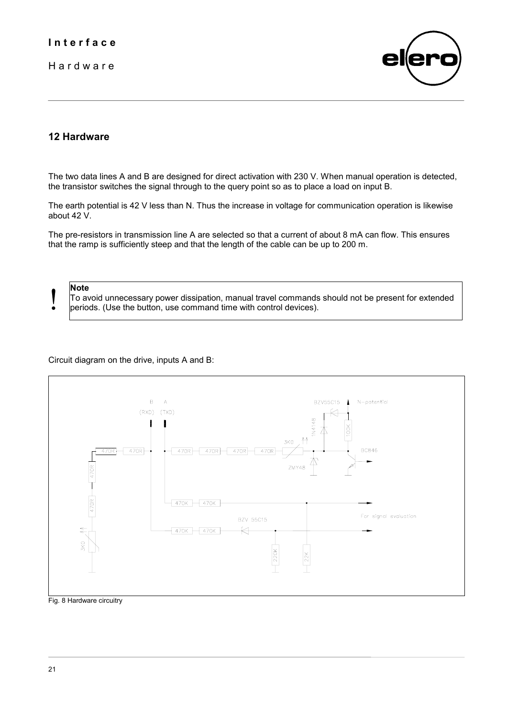Hardware



# **12 Hardware**

The two data lines A and B are designed for direct activation with 230 V. When manual operation is detected, the transistor switches the signal through to the query point so as to place a load on input B.

The earth potential is 42 V less than N. Thus the increase in voltage for communication operation is likewise about 42 V.

The pre-resistors in transmission line A are selected so that a current of about 8 mA can flow. This ensures that the ramp is sufficiently steep and that the length of the cable can be up to 200 m.

<u>|</u>

**Note** To avoid unnecessary power dissipation, manual travel commands should not be present for extended periods. (Use the button, use command time with control devices).

Circuit diagram on the drive, inputs A and B:



Fig. 8 Hardware circuitry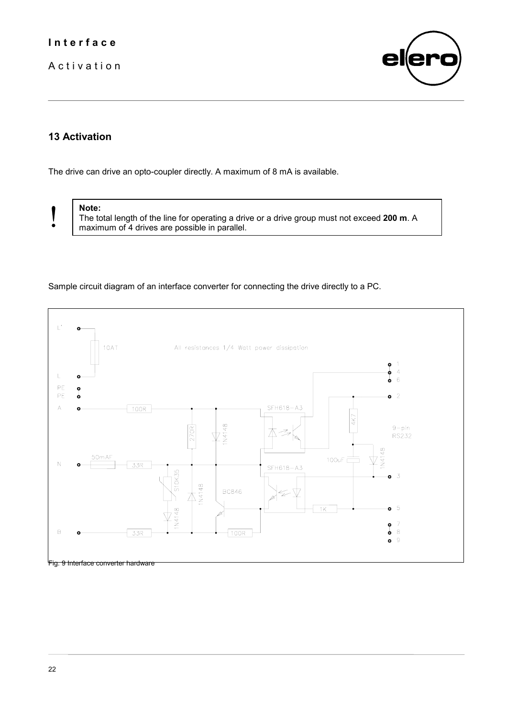Activation



# **13 Activation**

The drive can drive an opto-coupler directly. A maximum of 8 mA is available.



**Note:**

The total length of the line for operating a drive or a drive group must not exceed **200 m**. A maximum of 4 drives are possible in parallel.

Sample circuit diagram of an interface converter for connecting the drive directly to a PC.

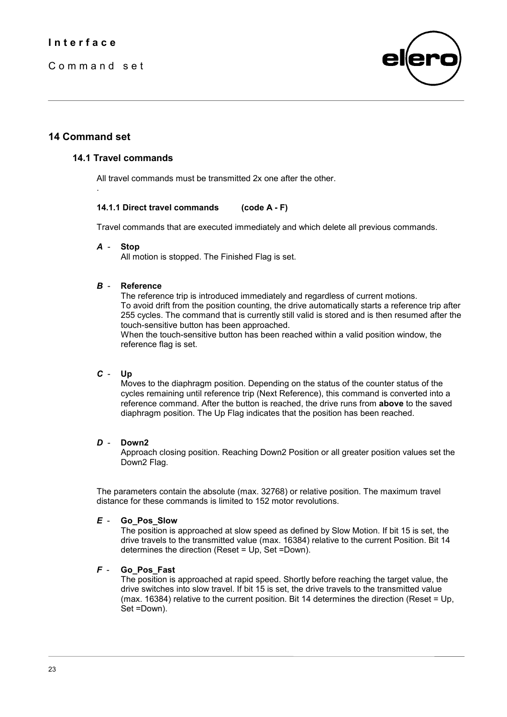

# **14 Command set**

.

#### **14.1 Travel commands**

All travel commands must be transmitted 2x one after the other.

#### **14.1.1 Direct travel commands (code A - F)**

Travel commands that are executed immediately and which delete all previous commands.

*A* - **Stop**

All motion is stopped. The Finished Flag is set.

#### *B* - **Reference**

The reference trip is introduced immediately and regardless of current motions. To avoid drift from the position counting, the drive automatically starts a reference trip after 255 cycles. The command that is currently still valid is stored and is then resumed after the touch-sensitive button has been approached. When the touch-sensitive button has been reached within a valid position window, the

reference flag is set.

#### *C* - **Up**

Moves to the diaphragm position. Depending on the status of the counter status of the cycles remaining until reference trip (Next Reference), this command is converted into a reference command. After the button is reached, the drive runs from **above** to the saved diaphragm position. The Up Flag indicates that the position has been reached.

#### *D* - **Down2**

Approach closing position. Reaching Down2 Position or all greater position values set the Down<sub>2</sub> Flag.

The parameters contain the absolute (max. 32768) or relative position. The maximum travel distance for these commands is limited to 152 motor revolutions.

#### *E* - **Go\_Pos\_Slow**

The position is approached at slow speed as defined by Slow Motion. If bit 15 is set, the drive travels to the transmitted value (max. 16384) relative to the current Position. Bit 14 determines the direction (Reset = Up, Set =Down).

#### *F* - **Go\_Pos\_Fast**

The position is approached at rapid speed. Shortly before reaching the target value, the drive switches into slow travel. If bit 15 is set, the drive travels to the transmitted value (max. 16384) relative to the current position. Bit 14 determines the direction (Reset = Up, Set =Down).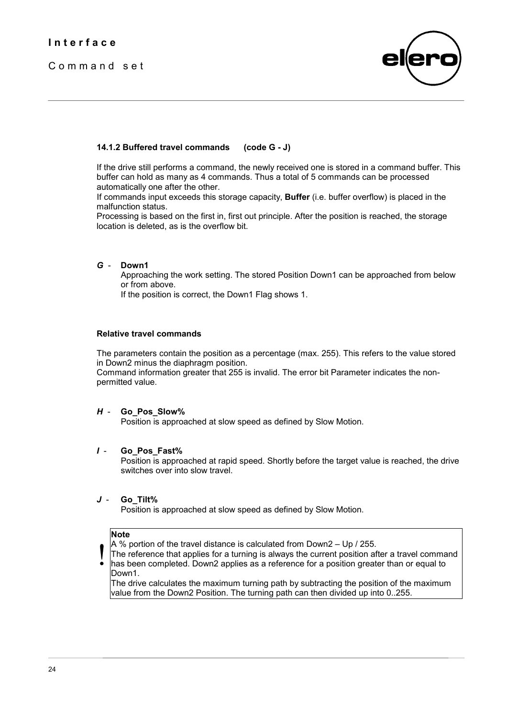

#### **14.1.2 Buffered travel commands (code G - J)**

If the drive still performs a command, the newly received one is stored in a command buffer. This buffer can hold as many as 4 commands. Thus a total of 5 commands can be processed automatically one after the other.

If commands input exceeds this storage capacity, **Buffer** (i.e. buffer overflow) is placed in the malfunction status.

Processing is based on the first in, first out principle. After the position is reached, the storage location is deleted, as is the overflow bit.

#### *G* - **Down1**

Approaching the work setting. The stored Position Down1 can be approached from below or from above.

If the position is correct, the Down1 Flag shows 1.

#### **Relative travel commands**

The parameters contain the position as a percentage (max. 255). This refers to the value stored in Down2 minus the diaphragm position.

Command information greater that 255 is invalid. The error bit Parameter indicates the nonpermitted value.

#### *H* - **Go\_Pos\_Slow%**

Position is approached at slow speed as defined by Slow Motion.

#### *I* - **Go\_Pos\_Fast%**

Position is approached at rapid speed. Shortly before the target value is reached, the drive switches over into slow travel.

#### *J* - **Go\_Tilt%**

Position is approached at slow speed as defined by Slow Motion.

#### **Note**

A % portion of the travel distance is calculated from Down2 – Up / 255.

<u> $\overline{\mathbf{I}}$ </u> The reference that applies for a turning is always the current position after a travel command has been completed. Down2 applies as a reference for a position greater than or equal to Down1.

The drive calculates the maximum turning path by subtracting the position of the maximum value from the Down2 Position. The turning path can then divided up into 0..255.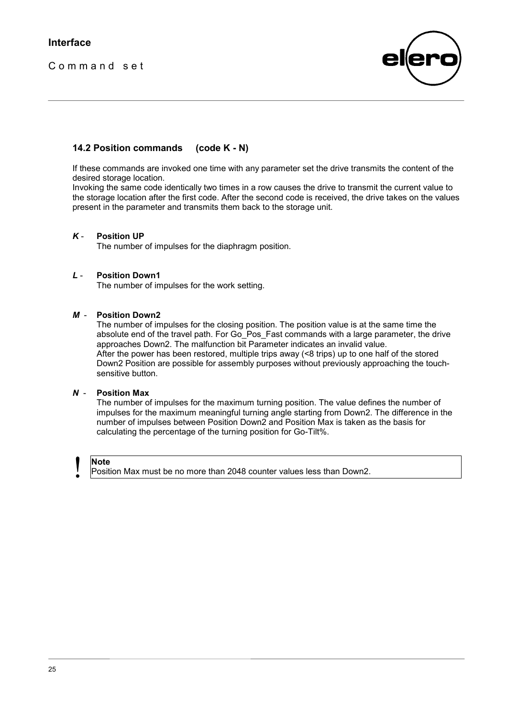

## **14.2 Position commands (code K - N)**

If these commands are invoked one time with any parameter set the drive transmits the content of the desired storage location.

Invoking the same code identically two times in a row causes the drive to transmit the current value to the storage location after the first code. After the second code is received, the drive takes on the values present in the parameter and transmits them back to the storage unit.

#### *K* - **Position UP**

The number of impulses for the diaphragm position.

#### *L* - **Position Down1**

The number of impulses for the work setting.

#### *M* - **Position Down2**

The number of impulses for the closing position. The position value is at the same time the absolute end of the travel path. For Go. Pos. Fast commands with a large parameter, the drive approaches Down2. The malfunction bit Parameter indicates an invalid value. After the power has been restored, multiple trips away (<8 trips) up to one half of the stored Down2 Position are possible for assembly purposes without previously approaching the touchsensitive button.

#### *N* - **Position Max**

The number of impulses for the maximum turning position. The value defines the number of impulses for the maximum meaningful turning angle starting from Down2. The difference in the number of impulses between Position Down2 and Position Max is taken as the basis for calculating the percentage of the turning position for Go-Tilt%.

**Note**<br>
Position Max must be no more than 2048 counter values less than Down2.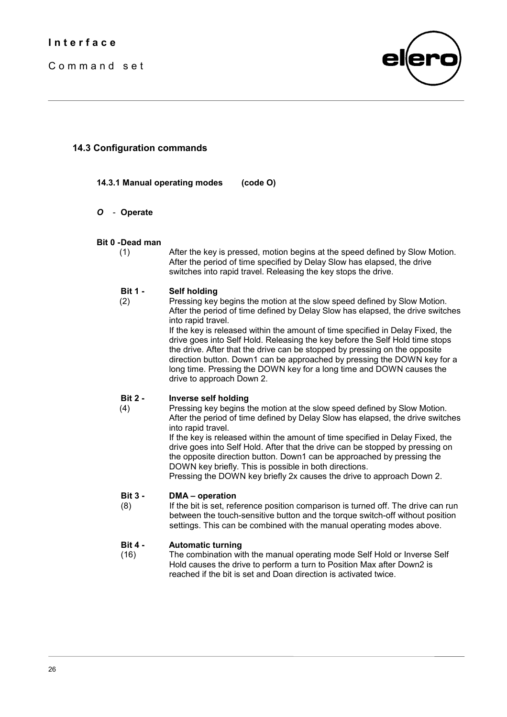

### **14.3 Configuration commands**

- **14.3.1 Manual operating modes (code O)**
- *O* **Operate**

#### **Bit 0 -Dead man**

 (1) After the key is pressed, motion begins at the speed defined by Slow Motion. After the period of time specified by Delay Slow has elapsed, the drive switches into rapid travel. Releasing the key stops the drive.

#### **Bit 1 - Self holding**

 (2) Pressing key begins the motion at the slow speed defined by Slow Motion. After the period of time defined by Delay Slow has elapsed, the drive switches into rapid travel.

If the key is released within the amount of time specified in Delay Fixed, the drive goes into Self Hold. Releasing the key before the Self Hold time stops the drive. After that the drive can be stopped by pressing on the opposite direction button. Down1 can be approached by pressing the DOWN key for a long time. Pressing the DOWN key for a long time and DOWN causes the drive to approach Down 2.

#### **Bit 2 - Inverse self holding**

 (4) Pressing key begins the motion at the slow speed defined by Slow Motion. After the period of time defined by Delay Slow has elapsed, the drive switches into rapid travel.

> If the key is released within the amount of time specified in Delay Fixed, the drive goes into Self Hold. After that the drive can be stopped by pressing on the opposite direction button. Down1 can be approached by pressing the DOWN key briefly. This is possible in both directions.

Pressing the DOWN key briefly 2x causes the drive to approach Down 2.

#### **Bit 3 - DMA – operation**

(8) If the bit is set, reference position comparison is turned off. The drive can run between the touch-sensitive button and the torque switch-off without position settings. This can be combined with the manual operating modes above.

#### **Bit 4 - Automatic turning**

(16) The combination with the manual operating mode Self Hold or Inverse Self Hold causes the drive to perform a turn to Position Max after Down2 is reached if the bit is set and Doan direction is activated twice.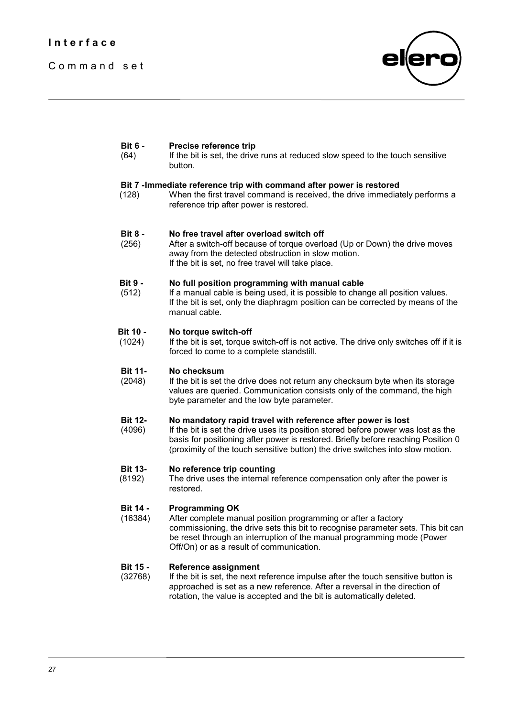

#### **Bit 6 - Precise reference trip**

(64) If the bit is set, the drive runs at reduced slow speed to the touch sensitive button.

#### **Bit 7 -Immediate reference trip with command after power is restored**

 (128) When the first travel command is received, the drive immediately performs a reference trip after power is restored.

#### **Bit 8 - No free travel after overload switch off**

(256) After a switch-off because of torque overload (Up or Down) the drive moves away from the detected obstruction in slow motion. If the bit is set, no free travel will take place.

#### **Bit 9 - No full position programming with manual cable**

(512) If a manual cable is being used, it is possible to change all position values. If the bit is set, only the diaphragm position can be corrected by means of the manual cable.

#### **Bit 10 - No torque switch-off**

 (1024) If the bit is set, torque switch-off is not active. The drive only switches off if it is forced to come to a complete standstill.

#### **Bit 11- No checksum**

(2048) If the bit is set the drive does not return any checksum byte when its storage values are queried. Communication consists only of the command, the high byte parameter and the low byte parameter.

#### **Bit 12- No mandatory rapid travel with reference after power is lost**

(4096) If the bit is set the drive uses its position stored before power was lost as the basis for positioning after power is restored. Briefly before reaching Position 0 (proximity of the touch sensitive button) the drive switches into slow motion.

#### **Bit 13- No reference trip counting**

 (8192) The drive uses the internal reference compensation only after the power is restored.

### **Bit 14 - Programming OK**

(16384) After complete manual position programming or after a factory commissioning, the drive sets this bit to recognise parameter sets. This bit can be reset through an interruption of the manual programming mode (Power Off/On) or as a result of communication.

#### **Bit 15 - Reference assignment**

(32768) If the bit is set, the next reference impulse after the touch sensitive button is approached is set as a new reference. After a reversal in the direction of rotation, the value is accepted and the bit is automatically deleted.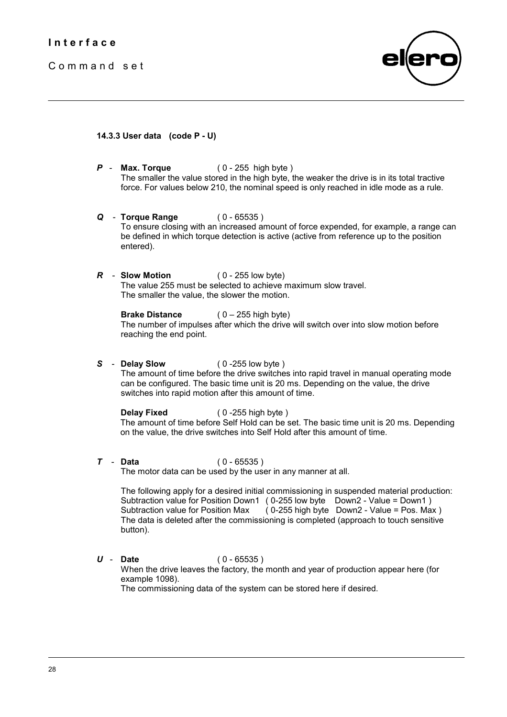

#### **14.3.3 User data (code P - U)**

- *P*  **Max. Torque** ( 0 255 high byte ) The smaller the value stored in the high byte, the weaker the drive is in its total tractive force. For values below 210, the nominal speed is only reached in idle mode as a rule.
- *Q* **Torque Range** ( 0 65535 ) To ensure closing with an increased amount of force expended, for example, a range can be defined in which torque detection is active (active from reference up to the position entered).
- *R* **Slow Motion** ( 0 255 low byte) The value 255 must be selected to achieve maximum slow travel. The smaller the value, the slower the motion.

**Brake Distance** (  $0 - 255$  high byte) The number of impulses after which the drive will switch over into slow motion before reaching the end point.

*S* - **Delay Slow** ( 0 -255 low byte ) The amount of time before the drive switches into rapid travel in manual operating mode can be configured. The basic time unit is 20 ms. Depending on the value, the drive switches into rapid motion after this amount of time.

**Delay Fixed** ( 0 -255 high byte ) The amount of time before Self Hold can be set. The basic time unit is 20 ms. Depending on the value, the drive switches into Self Hold after this amount of time.

*T* - **Data** ( 0 - 65535 )

The motor data can be used by the user in any manner at all.

The following apply for a desired initial commissioning in suspended material production: Subtraction value for Position Down1 ( 0-255 low byte Down2 - Value = Down1 )<br>Subtraction value for Position Max ( 0-255 high byte Down2 - Value = Pos. Ma  $(0-255 \text{ high byte}$  Down2 - Value = Pos. Max ) The data is deleted after the commissioning is completed (approach to touch sensitive button).

*U* - **Date** ( 0 - 65535 )

When the drive leaves the factory, the month and year of production appear here (for example 1098).

The commissioning data of the system can be stored here if desired.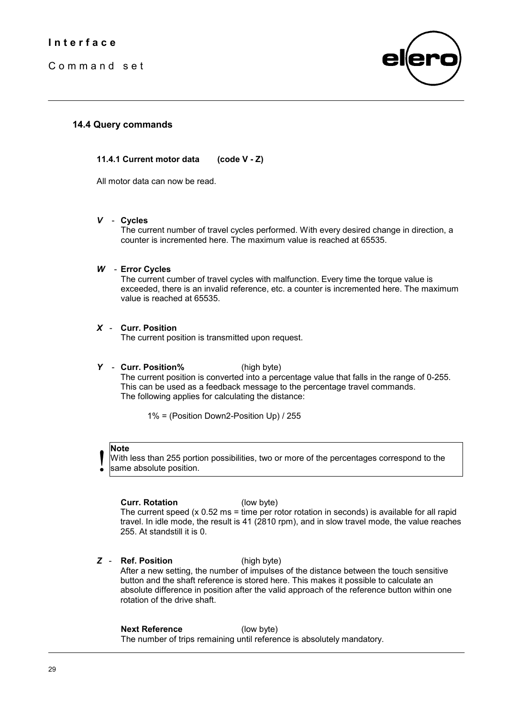

#### **14.4 Query commands**

#### **11.4.1 Current motor data (code V - Z)**

All motor data can now be read.

#### *V* - **Cycles**

The current number of travel cycles performed. With every desired change in direction, a counter is incremented here. The maximum value is reached at 65535.

#### *W* - **Error Cycles**

The current cumber of travel cycles with malfunction. Every time the torque value is exceeded, there is an invalid reference, etc. a counter is incremented here. The maximum value is reached at 65535.

#### *X* - **Curr. Position**

The current position is transmitted upon request.

#### *Y* - **Curr. Position%** (high byte)

The current position is converted into a percentage value that falls in the range of 0-255. This can be used as a feedback message to the percentage travel commands. The following applies for calculating the distance:

1% = (Position Down2-Position Up) / 255

# <u>|</u> **Note**

With less than 255 portion possibilities, two or more of the percentages correspond to the same absolute position.

#### **Curr. Rotation** (low byte)

The current speed (x 0.52 ms = time per rotor rotation in seconds) is available for all rapid travel. In idle mode, the result is 41 (2810 rpm), and in slow travel mode, the value reaches 255. At standstill it is 0.

#### *Z* - **Ref. Position** (high byte)

After a new setting, the number of impulses of the distance between the touch sensitive button and the shaft reference is stored here. This makes it possible to calculate an absolute difference in position after the valid approach of the reference button within one rotation of the drive shaft.

#### **Next Reference** (low byte)

The number of trips remaining until reference is absolutely mandatory.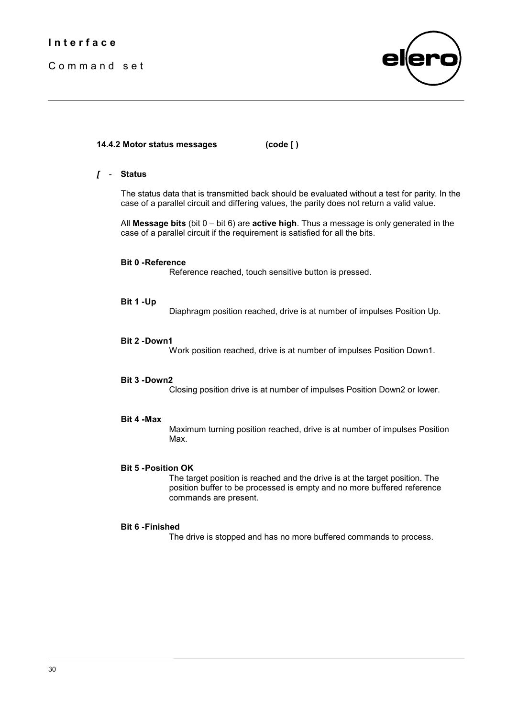

#### **14.4.2 Motor status messages (code [ )**

#### *[* - **Status**

The status data that is transmitted back should be evaluated without a test for parity. In the case of a parallel circuit and differing values, the parity does not return a valid value.

All **Message bits** (bit 0 – bit 6) are **active high**. Thus a message is only generated in the case of a parallel circuit if the requirement is satisfied for all the bits.

#### **Bit 0 -Reference**

Reference reached, touch sensitive button is pressed.

**Bit 1 -Up**

Diaphragm position reached, drive is at number of impulses Position Up.

#### **Bit 2 -Down1**

Work position reached, drive is at number of impulses Position Down1.

#### **Bit 3 -Down2**

Closing position drive is at number of impulses Position Down2 or lower.

#### **Bit 4 -Max**

Maximum turning position reached, drive is at number of impulses Position Max.

#### **Bit 5 -Position OK**

The target position is reached and the drive is at the target position. The position buffer to be processed is empty and no more buffered reference commands are present.

#### **Bit 6 -Finished**

The drive is stopped and has no more buffered commands to process.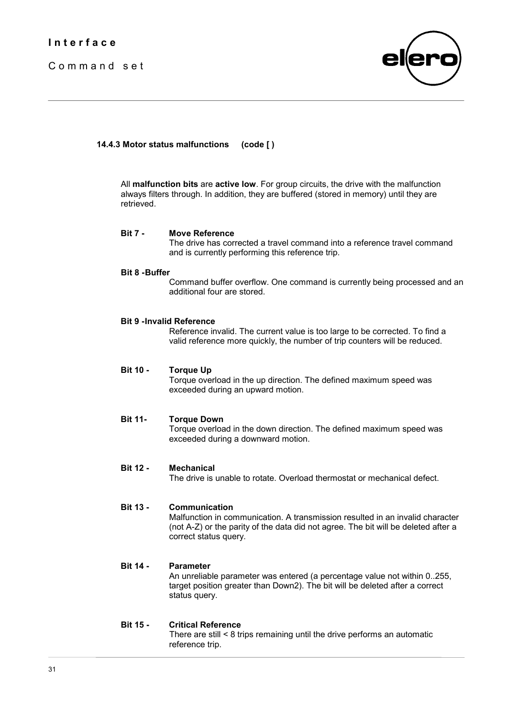

#### **14.4.3 Motor status malfunctions (code [ )**

All **malfunction bits** are **active low**. For group circuits, the drive with the malfunction always filters through. In addition, they are buffered (stored in memory) until they are retrieved.

#### **Bit 7 - Move Reference**

The drive has corrected a travel command into a reference travel command and is currently performing this reference trip.

#### **Bit 8 -Buffer**

Command buffer overflow. One command is currently being processed and an additional four are stored.

#### **Bit 9 -Invalid Reference**

Reference invalid. The current value is too large to be corrected. To find a valid reference more quickly, the number of trip counters will be reduced.

#### **Bit 10 - Torque Up**

Torque overload in the up direction. The defined maximum speed was exceeded during an upward motion.

#### **Bit 11- Torque Down**

Torque overload in the down direction. The defined maximum speed was exceeded during a downward motion.

#### **Bit 12 - Mechanical**

The drive is unable to rotate. Overload thermostat or mechanical defect.

#### **Bit 13 - Communication**

Malfunction in communication. A transmission resulted in an invalid character (not A-Z) or the parity of the data did not agree. The bit will be deleted after a correct status query.

#### **Bit 14 - Parameter**

An unreliable parameter was entered (a percentage value not within 0..255, target position greater than Down2). The bit will be deleted after a correct status query.

#### **Bit 15 - Critical Reference**

There are still < 8 trips remaining until the drive performs an automatic reference trip.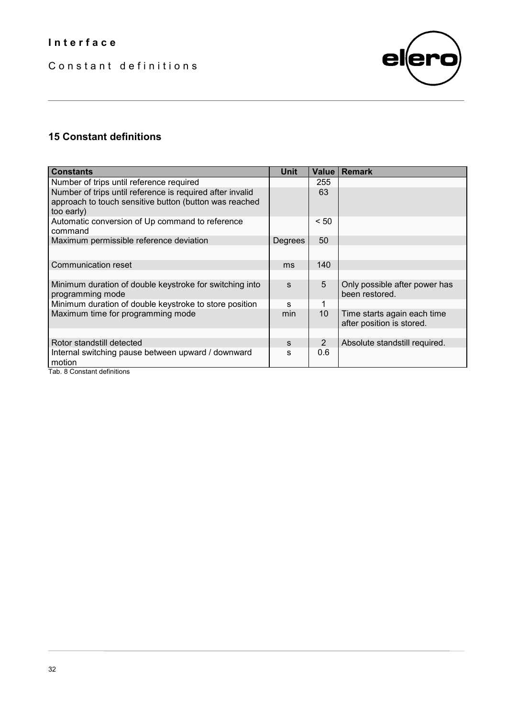Constant definitions



# **15 Constant definitions**

| <b>Constants</b>                                                                                                                  | Unit    | <b>Value</b>    | <b>Remark</b>                                            |
|-----------------------------------------------------------------------------------------------------------------------------------|---------|-----------------|----------------------------------------------------------|
| Number of trips until reference required                                                                                          |         | 255             |                                                          |
| Number of trips until reference is required after invalid<br>approach to touch sensitive button (button was reached<br>too early) |         | 63              |                                                          |
| Automatic conversion of Up command to reference<br>command                                                                        |         | < 50            |                                                          |
| Maximum permissible reference deviation                                                                                           | Degrees | 50              |                                                          |
|                                                                                                                                   |         |                 |                                                          |
| Communication reset                                                                                                               | ms      | 140             |                                                          |
|                                                                                                                                   |         |                 |                                                          |
| Minimum duration of double keystroke for switching into<br>programming mode                                                       | S.      | 5               | Only possible after power has<br>been restored.          |
| Minimum duration of double keystroke to store position                                                                            | S       |                 |                                                          |
| Maximum time for programming mode                                                                                                 | min     | 10 <sup>°</sup> | Time starts again each time<br>after position is stored. |
|                                                                                                                                   |         |                 |                                                          |
| Rotor standstill detected                                                                                                         | S       | 2               | Absolute standstill required.                            |
| Internal switching pause between upward / downward<br>motion<br>Tah & Constant definitions                                        | S       | 0.6             |                                                          |

Tab. 8 Constant definitions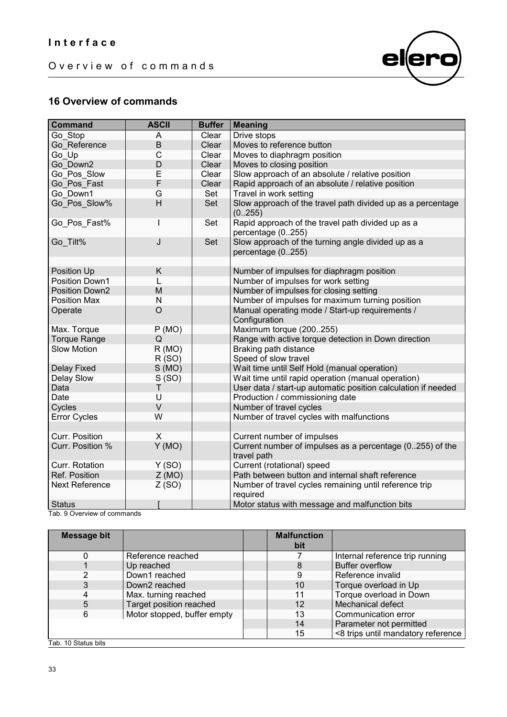# Overview of commands



# **16 Overview of commands**

| <b>Command</b>        | <b>ASCII</b>   | <b>Buffer</b> | <b>Meaning</b>                                                          |  |
|-----------------------|----------------|---------------|-------------------------------------------------------------------------|--|
| Go Stop               | A              | Clear         | Drive stops                                                             |  |
| Go Reference          | B              | Clear         | Moves to reference button                                               |  |
| Go Up                 | $\mathsf{C}$   | Clear         | Moves to diaphragm position                                             |  |
| Go Down2              | D              | Clear         | Moves to closing position                                               |  |
| Go Pos Slow           | E              | Clear         | Slow approach of an absolute / relative position                        |  |
| Go Pos Fast           | F              | Clear         | Rapid approach of an absolute / relative position                       |  |
| Go Down1              | G              | Set           | Travel in work setting                                                  |  |
| Go Pos Slow%          | H              | Set           | Slow approach of the travel path divided up as a percentage<br>(0255)   |  |
| Go_Pos_Fast%          | I              | Set           | Rapid approach of the travel path divided up as a<br>percentage (0255)  |  |
| Go Tilt%              | J              | Set           | Slow approach of the turning angle divided up as a<br>percentage (0255) |  |
|                       |                |               |                                                                         |  |
| Position Up           | K              |               | Number of impulses for diaphragm position                               |  |
| Position Down1        |                |               | Number of impulses for work setting                                     |  |
| Position Down2        | M              |               | Number of impulses for closing setting                                  |  |
| <b>Position Max</b>   | N              |               | Number of impulses for maximum turning position                         |  |
| Operate               | $\overline{O}$ |               | Manual operating mode / Start-up requirements /<br>Configuration        |  |
| Max. Torque           | P(MO)          |               | Maximum torque (200.255)                                                |  |
| <b>Torque Range</b>   | Q              |               | Range with active torque detection in Down direction                    |  |
| <b>Slow Motion</b>    | R(MO)          |               | Braking path distance                                                   |  |
|                       | R(SO)          |               | Speed of slow travel                                                    |  |
| <b>Delay Fixed</b>    | S(MO)          |               | Wait time until Self Hold (manual operation)                            |  |
| Delay Slow            | S(SO)          |               | Wait time until rapid operation (manual operation)                      |  |
| Data                  | T              |               | User data / start-up automatic position calculation if needed           |  |
| Date                  | U              |               | Production / commissioning date                                         |  |
| Cycles                | $\vee$         |               | Number of travel cycles                                                 |  |
| <b>Error Cycles</b>   | W              |               | Number of travel cycles with malfunctions                               |  |
|                       |                |               |                                                                         |  |
| Curr. Position        | X              |               | Current number of impulses                                              |  |
| Curr. Position %      | Y(MO)          |               | Current number of impulses as a percentage (0255) of the                |  |
|                       |                |               | travel path                                                             |  |
| Curr. Rotation        | Y(SO)          |               | Current (rotational) speed                                              |  |
| Ref. Position         | Z(MO)          |               | Path between button and internal shaft reference                        |  |
| <b>Next Reference</b> | Z(SO)          |               | Number of travel cycles remaining until reference trip<br>required      |  |
| <b>Status</b>         |                |               | Motor status with message and malfunction bits                          |  |

Tab. 9 Overview of commands

| <b>Message bit</b>  |                             | <b>Malfunction</b><br>bit |                                    |
|---------------------|-----------------------------|---------------------------|------------------------------------|
| 0                   | Reference reached           |                           | Internal reference trip running    |
|                     | Up reached                  | 8                         | <b>Buffer overflow</b>             |
| 2                   | Down1 reached               | 9                         | Reference invalid                  |
| 3                   | Down2 reached               | 10                        | Torque overload in Up              |
| 4                   | Max. turning reached        | 11                        | Torque overload in Down            |
| 5                   | Target position reached     | 12                        | Mechanical defect                  |
| 6                   | Motor stopped, buffer empty | 13                        | Communication error                |
|                     |                             | 14                        | Parameter not permitted            |
|                     |                             | 15                        | <8 trips until mandatory reference |
| Tab. 10 Status bits |                             |                           |                                    |